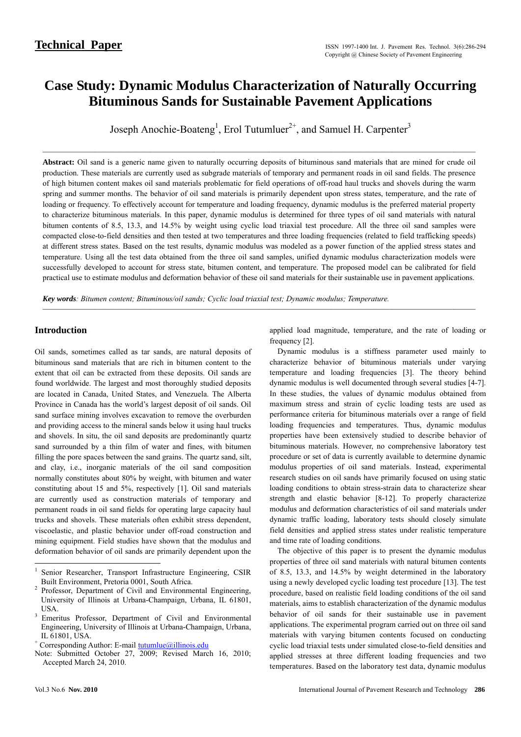# **Case Study: Dynamic Modulus Characterization of Naturally Occurring Bituminous Sands for Sustainable Pavement Applications**

Joseph Anochie-Boateng<sup>1</sup>, Erol Tutumluer<sup>2+</sup>, and Samuel H. Carpenter<sup>3</sup>

───────────────────────────────────────────────────────

**Abstract:** Oil sand is a generic name given to naturally occurring deposits of bituminous sand materials that are mined for crude oil production. These materials are currently used as subgrade materials of temporary and permanent roads in oil sand fields. The presence of high bitumen content makes oil sand materials problematic for field operations of off-road haul trucks and shovels during the warm spring and summer months. The behavior of oil sand materials is primarily dependent upon stress states, temperature, and the rate of loading or frequency. To effectively account for temperature and loading frequency, dynamic modulus is the preferred material property to characterize bituminous materials. In this paper, dynamic modulus is determined for three types of oil sand materials with natural bitumen contents of 8.5, 13.3, and 14.5% by weight using cyclic load triaxial test procedure. All the three oil sand samples were compacted close-to-field densities and then tested at two temperatures and three loading frequencies (related to field trafficking speeds) at different stress states. Based on the test results, dynamic modulus was modeled as a power function of the applied stress states and temperature. Using all the test data obtained from the three oil sand samples, unified dynamic modulus characterization models were successfully developed to account for stress state, bitumen content, and temperature. The proposed model can be calibrated for field practical use to estimate modulus and deformation behavior of these oil sand materials for their sustainable use in pavement applications.

───────────────────────────────────────────────────────

*Key words: Bitumen content; Bituminous/oil sands; Cyclic load triaxial test; Dynamic modulus; Temperature.* 

## **Introduction**

Oil sands, sometimes called as tar sands, are natural deposits of bituminous sand materials that are rich in bitumen content to the extent that oil can be extracted from these deposits. Oil sands are found worldwide. The largest and most thoroughly studied deposits are located in Canada, United States, and Venezuela. The Alberta Province in Canada has the world's largest deposit of oil sands. Oil sand surface mining involves excavation to remove the overburden and providing access to the mineral sands below it using haul trucks and shovels. In situ, the oil sand deposits are predominantly quartz sand surrounded by a thin film of water and fines, with bitumen filling the pore spaces between the sand grains. The quartz sand, silt, and clay, i.e., inorganic materials of the oil sand composition normally constitutes about 80% by weight, with bitumen and water constituting about 15 and 5%, respectively [1]. Oil sand materials are currently used as construction materials of temporary and permanent roads in oil sand fields for operating large capacity haul trucks and shovels. These materials often exhibit stress dependent, viscoelastic, and plastic behavior under off-road construction and mining equipment. Field studies have shown that the modulus and deformation behavior of oil sands are primarily dependent upon the applied load magnitude, temperature, and the rate of loading or frequency [2].

Dynamic modulus is a stiffness parameter used mainly to characterize behavior of bituminous materials under varying temperature and loading frequencies [3]. The theory behind dynamic modulus is well documented through several studies [4-7]. In these studies, the values of dynamic modulus obtained from maximum stress and strain of cyclic loading tests are used as performance criteria for bituminous materials over a range of field loading frequencies and temperatures. Thus, dynamic modulus properties have been extensively studied to describe behavior of bituminous materials. However, no comprehensive laboratory test procedure or set of data is currently available to determine dynamic modulus properties of oil sand materials. Instead, experimental research studies on oil sands have primarily focused on using static loading conditions to obtain stress-strain data to characterize shear strength and elastic behavior [8-12]. To properly characterize modulus and deformation characteristics of oil sand materials under dynamic traffic loading, laboratory tests should closely simulate field densities and applied stress states under realistic temperature and time rate of loading conditions.

The objective of this paper is to present the dynamic modulus properties of three oil sand materials with natural bitumen contents of 8.5, 13.3, and 14.5% by weight determined in the laboratory using a newly developed cyclic loading test procedure [13]. The test procedure, based on realistic field loading conditions of the oil sand materials, aims to establish characterization of the dynamic modulus behavior of oil sands for their sustainable use in pavement applications. The experimental program carried out on three oil sand materials with varying bitumen contents focused on conducting cyclic load triaxial tests under simulated close-to-field densities and applied stresses at three different loading frequencies and two temperatures. Based on the laboratory test data, dynamic modulus

1

<sup>1</sup> Senior Researcher, Transport Infrastructure Engineering, CSIR Built Environment, Pretoria 0001, South Africa. 2

Professor, Department of Civil and Environmental Engineering, University of Illinois at Urbana-Champaign, Urbana, IL 61801, USA. 3 Emeritus Professor, Department of Civil and Environmental

Engineering, University of Illinois at Urbana-Champaign, Urbana, IL 61801, USA.

<sup>&</sup>lt;sup>+</sup> Corresponding Author: E-mail **tutumlue@illinois.edu** 

Note: Submitted October 27, 2009; Revised March 16, 2010; Accepted March 24, 2010.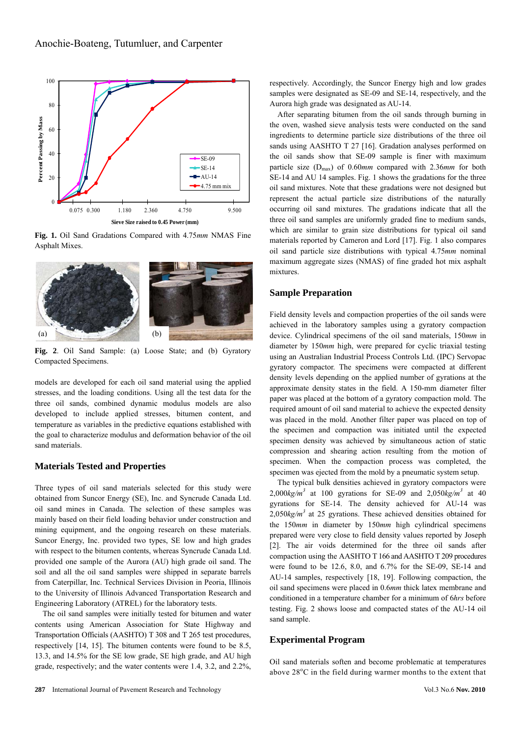

**Fig. 1.** Oil Sand Gradations Compared with 4.75*mm* NMAS Fine Asphalt Mixes.



**Fig. 2**. Oil Sand Sample: (a) Loose State; and (b) Gyratory Compacted Specimens.

models are developed for each oil sand material using the applied stresses, and the loading conditions. Using all the test data for the three oil sands, combined dynamic modulus models are also developed to include applied stresses, bitumen content, and temperature as variables in the predictive equations established with the goal to characterize modulus and deformation behavior of the oil sand materials.

## **Materials Tested and Properties**

Three types of oil sand materials selected for this study were obtained from Suncor Energy (SE), Inc. and Syncrude Canada Ltd. oil sand mines in Canada. The selection of these samples was mainly based on their field loading behavior under construction and mining equipment, and the ongoing research on these materials. Suncor Energy, Inc. provided two types, SE low and high grades with respect to the bitumen contents, whereas Syncrude Canada Ltd. provided one sample of the Aurora (AU) high grade oil sand. The soil and all the oil sand samples were shipped in separate barrels from Caterpillar, Inc. Technical Services Division in Peoria, Illinois to the University of Illinois Advanced Transportation Research and Engineering Laboratory (ATREL) for the laboratory tests.

The oil sand samples were initially tested for bitumen and water contents using American Association for State Highway and Transportation Officials (AASHTO) T 308 and T 265 test procedures, respectively [14, 15]. The bitumen contents were found to be 8.5, 13.3, and 14.5% for the SE low grade, SE high grade, and AU high grade, respectively; and the water contents were 1.4, 3.2, and 2.2%, respectively. Accordingly, the Suncor Energy high and low grades samples were designated as SE-09 and SE-14, respectively, and the Aurora high grade was designated as AU-14.

After separating bitumen from the oil sands through burning in the oven, washed sieve analysis tests were conducted on the sand ingredients to determine particle size distributions of the three oil sands using AASHTO T 27 [16]. Gradation analyses performed on the oil sands show that SE-09 sample is finer with maximum particle size (Dmax) of 0.60*mm* compared with 2.36*mm* for both SE-14 and AU 14 samples. Fig. 1 shows the gradations for the three oil sand mixtures. Note that these gradations were not designed but represent the actual particle size distributions of the naturally occurring oil sand mixtures. The gradations indicate that all the three oil sand samples are uniformly graded fine to medium sands, which are similar to grain size distributions for typical oil sand materials reported by Cameron and Lord [17]. Fig. 1 also compares oil sand particle size distributions with typical 4.75*mm* nominal maximum aggregate sizes (NMAS) of fine graded hot mix asphalt mixtures.

## **Sample Preparation**

Field density levels and compaction properties of the oil sands were achieved in the laboratory samples using a gyratory compaction device. Cylindrical specimens of the oil sand materials, 150*mm* in diameter by 150*mm* high, were prepared for cyclic triaxial testing using an Australian Industrial Process Controls Ltd. (IPC) Servopac gyratory compactor. The specimens were compacted at different density levels depending on the applied number of gyrations at the approximate density states in the field. A 150-mm diameter filter paper was placed at the bottom of a gyratory compaction mold. The required amount of oil sand material to achieve the expected density was placed in the mold. Another filter paper was placed on top of the specimen and compaction was initiated until the expected specimen density was achieved by simultaneous action of static compression and shearing action resulting from the motion of specimen. When the compaction process was completed, the specimen was ejected from the mold by a pneumatic system setup.

The typical bulk densities achieved in gyratory compactors were  $2,000kg/m^3$  at 100 gyrations for SE-09 and  $2,050kg/m^3$  at 40 gyrations for SE-14. The density achieved for AU-14 was  $2,050kg/m<sup>3</sup>$  at 25 gyrations. These achieved densities obtained for the 150*mm* in diameter by 150*mm* high cylindrical specimens prepared were very close to field density values reported by Joseph [2]. The air voids determined for the three oil sands after compaction using the AASHTO T 166 and AASHTO T 209 procedures were found to be 12.6, 8.0, and 6.7% for the SE-09, SE-14 and AU-14 samples, respectively [18, 19]. Following compaction, the oil sand specimens were placed in 0.6*mm* thick latex membrane and conditioned in a temperature chamber for a minimum of 6*hrs* before testing. Fig. 2 shows loose and compacted states of the AU-14 oil sand sample.

## **Experimental Program**

Oil sand materials soften and become problematic at temperatures above 28°C in the field during warmer months to the extent that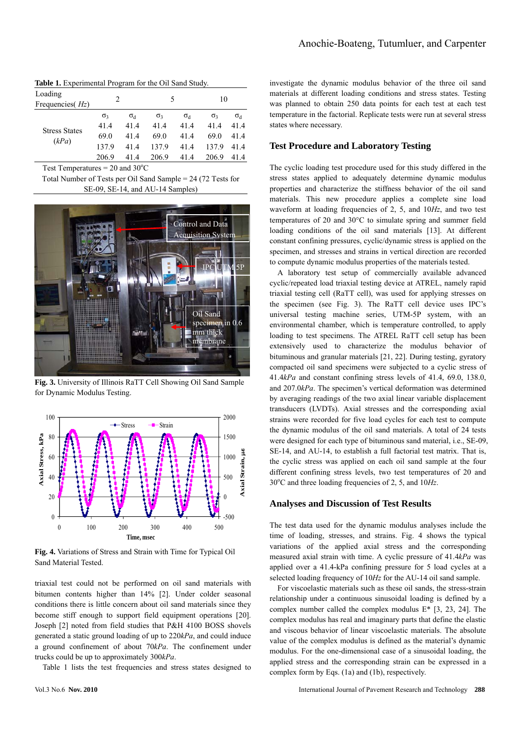| <b>Table 1.</b> Experimental Program for the Oil Sand Study. |                               |              |            |                  |            |              |  |
|--------------------------------------------------------------|-------------------------------|--------------|------------|------------------|------------|--------------|--|
| Loading                                                      | $\mathfrak{D}_{\mathfrak{p}}$ |              | 5          |                  | 10         |              |  |
| Frequencies $Hz$ )                                           |                               |              |            |                  |            |              |  |
|                                                              | $\sigma_3$                    | $\sigma_{d}$ | $\sigma_3$ | $\sigma_{\rm d}$ | $\sigma_3$ | $\sigma_{d}$ |  |
|                                                              | 41.4                          | 414          | 414        | 41.4             | 414        | 414          |  |
| <b>Stress States</b><br>(kPa)                                | 69.0                          | 414          | 69.0       | 41.4             | 69.0       | 414          |  |
|                                                              | 137.9                         | 414          | 1379       | 414              | 1379       | 414          |  |
|                                                              | 206.9                         | 414          | 206.9      | 414              | 206.9      | 414          |  |
|                                                              |                               |              |            |                  |            |              |  |

Test Temperatures =  $20$  and  $30^{\circ}$ C

Total Number of Tests per Oil Sand Sample = 24 (72 Tests for SE-09, SE-14, and AU-14 Samples)



**Fig. 3.** University of Illinois RaTT Cell Showing Oil Sand Sample for Dynamic Modulus Testing.



**Fig. 4.** Variations of Stress and Strain with Time for Typical Oil Sand Material Tested.

triaxial test could not be performed on oil sand materials with bitumen contents higher than 14% [2]. Under colder seasonal conditions there is little concern about oil sand materials since they become stiff enough to support field equipment operations [20]. Joseph [2] noted from field studies that P&H 4100 BOSS shovels generated a static ground loading of up to 220*kPa*, and could induce a ground confinement of about 70*kPa*. The confinement under trucks could be up to approximately 300*kPa*.

Table 1 lists the test frequencies and stress states designed to

investigate the dynamic modulus behavior of the three oil sand materials at different loading conditions and stress states. Testing was planned to obtain 250 data points for each test at each test temperature in the factorial. Replicate tests were run at several stress states where necessary.

#### **Test Procedure and Laboratory Testing**

The cyclic loading test procedure used for this study differed in the stress states applied to adequately determine dynamic modulus properties and characterize the stiffness behavior of the oil sand materials. This new procedure applies a complete sine load waveform at loading frequencies of 2, 5, and 10*Hz*, and two test temperatures of 20 and 30°C to simulate spring and summer field loading conditions of the oil sand materials [13]. At different constant confining pressures, cyclic/dynamic stress is applied on the specimen, and stresses and strains in vertical direction are recorded to compute dynamic modulus properties of the materials tested.

A laboratory test setup of commercially available advanced cyclic/repeated load triaxial testing device at ATREL, namely rapid triaxial testing cell (RaTT cell), was used for applying stresses on the specimen (see Fig. 3). The RaTT cell device uses IPC's universal testing machine series, UTM-5P system, with an environmental chamber, which is temperature controlled, to apply loading to test specimens. The ATREL RaTT cell setup has been extensively used to characterize the modulus behavior of bituminous and granular materials [21, 22]. During testing, gyratory compacted oil sand specimens were subjected to a cyclic stress of 41.4*kPa* and constant confining stress levels of 41.4, 69.0, 138.0, and 207.0*kPa*. The specimen's vertical deformation was determined by averaging readings of the two axial linear variable displacement transducers (LVDTs). Axial stresses and the corresponding axial strains were recorded for five load cycles for each test to compute the dynamic modulus of the oil sand materials. A total of 24 tests were designed for each type of bituminous sand material, i.e., SE-09, SE-14, and AU-14, to establish a full factorial test matrix. That is, the cyclic stress was applied on each oil sand sample at the four different confining stress levels, two test temperatures of 20 and 30<sup>o</sup>C and three loading frequencies of 2, 5, and 10Hz.

#### **Analyses and Discussion of Test Results**

The test data used for the dynamic modulus analyses include the time of loading, stresses, and strains. Fig. 4 shows the typical variations of the applied axial stress and the corresponding measured axial strain with time. A cyclic pressure of 41.4*kPa* was applied over a 41.4-kPa confining pressure for 5 load cycles at a selected loading frequency of 10*Hz* for the AU-14 oil sand sample.

For viscoelastic materials such as these oil sands, the stress-strain relationship under a continuous sinusoidal loading is defined by a complex number called the complex modulus E\* [3, 23, 24]. The complex modulus has real and imaginary parts that define the elastic and viscous behavior of linear viscoelastic materials. The absolute value of the complex modulus is defined as the material's dynamic modulus. For the one-dimensional case of a sinusoidal loading, the applied stress and the corresponding strain can be expressed in a complex form by Eqs. (1a) and (1b), respectively.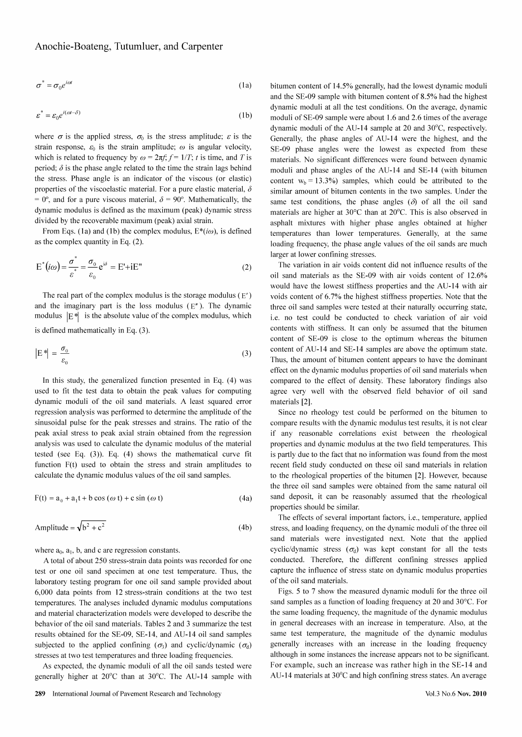$$
\sigma^* = \sigma_0 e^{i\omega t} \tag{1a}
$$

$$
\varepsilon^* = \varepsilon_0 e^{i(\omega t - \delta)} \tag{1b}
$$

where  $\sigma$  is the applied stress,  $\sigma_0$  is the stress amplitude;  $\varepsilon$  is the strain response,  $\varepsilon_0$  is the strain amplitude;  $\omega$  is angular velocity, which is related to frequency by  $\omega = 2\pi f$ ;  $f = 1/T$ ; t is time, and T is period;  $\delta$  is the phase angle related to the time the strain lags behind the stress. Phase angle is an indicator of the viscous (or elastic) properties of the viscoelastic material. For a pure elastic material,  $\delta$ = 0°, and for a pure viscous material,  $\delta$  = 90°. Mathematically, the dynamic modulus is defined as the maximum (peak) dynamic stress divided by the recoverable maximum (peak) axial strain.

From Eqs. (1a) and (1b) the complex modulus,  $E^*(i\omega)$ , is defined as the complex quantity in Eq.  $(2)$ .

$$
E^*(i\omega) = \frac{\sigma^*}{\varepsilon^*} = \frac{\sigma_0}{\varepsilon_0} e^{i\delta} = E^* + iE^*
$$
\n(2)

The real part of the complex modulus is the storage modulus  $(E')$ and the imaginary part is the loss modulus  $(E<sup>n</sup>)$ . The dynamic modulus  $|E^*|$  is the absolute value of the complex modulus, which

is defined mathematically in Eq. (3).

$$
\left| \mathcal{E}^* \right| = \frac{\sigma_0}{\varepsilon_0} \tag{3}
$$

In this study, the generalized function presented in Eq. (4) was used to fit the test data to obtain the peak values for computing dynamic moduli of the oil sand materials. A least squared error regression analysis was performed to determine the amplitude of the sinusoidal pulse for the peak stresses and strains. The ratio of the peak axial stress to peak axial strain obtained from the regression analysis was used to calculate the dynamic modulus of the material tested (see Eq.  $(3)$ ). Eq.  $(4)$  shows the mathematical curve fit function F(t) used to obtain the stress and strain amplitudes to calculate the dynamic modulus values of the oil sand samples.

$$
F(t) = a_0 + a_1 t + b \cos(\omega t) + c \sin(\omega t)
$$
 (4a)

Amplitude = 
$$
\sqrt{b^2 + c^2}
$$
 (4b)

where  $a_0$ ,  $a_1$ , b, and c are regression constants.

A total of about 250 stress-strain data points was recorded for one test or one oil sand specimen at one test temperature. Thus, the laboratory testing program for one oil sand sample provided about 6,000 data points from 12 stress-strain conditions at the two test temperatures. The analyses included dynamic modulus computations and material characterization models were developed to describe the behavior of the oil sand materials. Tables 2 and 3 summarize the test results obtained for the SE-09, SE-14, and AU-14 oil sand samples subjected to the applied confining  $(\sigma_3)$  and cyclic/dynamic  $(\sigma_d)$ stresses at two test temperatures and three loading frequencies.

As expected, the dynamic moduli of all the oil sands tested were generally higher at 20°C than at 30°C. The AU-14 sample with bitumen content of 14.5% generally, had the lowest dynamic moduli and the SE-09 sample with bitumen content of 8.5% had the highest dynamic moduli at all the test conditions. On the average, dynamic moduli of SE-09 sample were about 1.6 and 2.6 times of the average dynamic moduli of the AU-14 sample at 20 and 30°C, respectively. Generally, the phase angles of AU-14 were the highest, and the SE-09 phase angles were the lowest as expected from these materials. No significant differences were found between dynamic moduli and phase angles of the AU-14 and SE-14 (with bitumen content  $w_b = 13.3\%$ ) samples, which could be attributed to the similar amount of bitumen contents in the two samples. Under the same test conditions, the phase angles  $(\delta)$  of all the oil sand materials are higher at 30°C than at 20°C. This is also observed in asphalt mixtures with higher phase angles obtained at higher temperatures than lower temperatures. Generally, at the same loading frequency, the phase angle values of the oil sands are much larger at lower confining stresses.

The variation in air voids content did not influence results of the oil sand materials as the SE-09 with air voids content of 12.6% would have the lowest stiffness properties and the AU-14 with air voids content of 6.7% the highest stiffness properties. Note that the three oil sand samples were tested at their naturally occurring state, i.e. no test could be conducted to check variation of air void contents with stiffness. It can only be assumed that the bitumen content of SE-09 is close to the optimum whereas the bitumen content of AU-14 and SE-14 samples are above the optimum state. Thus, the amount of bitumen content appears to have the dominant effect on the dynamic modulus properties of oil sand materials when compared to the effect of density. These laboratory findings also agree very well with the observed field behavior of oil sand materials [2].

Since no rheology test could be performed on the bitumen to compare results with the dynamic modulus test results, it is not clear if any reasonable correlations exist between the rheological properties and dynamic modulus at the two field temperatures. This is partly due to the fact that no information was found from the most recent field study conducted on these oil sand materials in relation to the rheological properties of the bitumen [2]. However, because the three oil sand samples were obtained from the same natural oil sand deposit, it can be reasonably assumed that the rheological properties should be similar.

The effects of several important factors, i.e., temperature, applied stress, and loading frequency, on the dynamic moduli of the three oil sand materials were investigated next. Note that the applied cyclic/dynamic stress  $(\sigma_d)$  was kept constant for all the tests conducted. Therefore, the different confining stresses applied capture the influence of stress state on dynamic modulus properties of the oil sand materials.

Figs. 5 to 7 show the measured dynamic moduli for the three oil sand samples as a function of loading frequency at 20 and 30°C. For the same loading frequency, the magnitude of the dynamic modulus in general decreases with an increase in temperature. Also, at the same test temperature, the magnitude of the dynamic modulus generally increases with an increase in the loading frequency although in some instances the increase appears not to be significant. For example, such an increase was rather high in the SE-14 and AU-14 materials at 30°C and high confining stress states. An average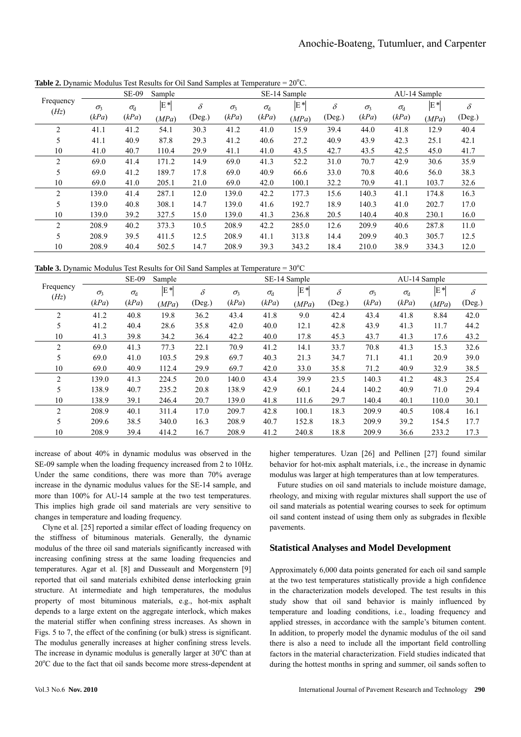|                   |              | <b>SE-09</b>     | Sample |          | SE-14 Sample |              |       |          | AU-14 Sample |                  |       |          |
|-------------------|--------------|------------------|--------|----------|--------------|--------------|-------|----------|--------------|------------------|-------|----------|
| Frequency<br>(Hz) | $\sigma_{3}$ | $\sigma_{\rm d}$ | E*     | $\delta$ | $\sigma_3$   | $\sigma_{d}$ | $E^*$ | $\delta$ | $\sigma_3$   | $\sigma_{\rm d}$ | E*    | $\delta$ |
|                   | (kPa)        | (kPa)            | (MPa)  | (Deg.)   | (kPa)        | (kPa)        | (MPa) | (Deg.)   | (kPa)        | (kPa)            | (MPa) | (Deg.)   |
| $\overline{c}$    | 41.1         | 41.2             | 54.1   | 30.3     | 41.2         | 41.0         | 15.9  | 39.4     | 44.0         | 41.8             | 12.9  | 40.4     |
| 5                 | 41.1         | 40.9             | 87.8   | 29.3     | 41.2         | 40.6         | 27.2  | 40.9     | 43.9         | 42.3             | 25.1  | 42.1     |
| 10                | 41.0         | 40.7             | 110.4  | 29.9     | 41.1         | 41.0         | 43.5  | 42.7     | 43.5         | 42.5             | 45.0  | 41.7     |
| $\overline{c}$    | 69.0         | 41.4             | 171.2  | 14.9     | 69.0         | 41.3         | 52.2  | 31.0     | 70.7         | 42.9             | 30.6  | 35.9     |
| 5                 | 69.0         | 41.2             | 189.7  | 17.8     | 69.0         | 40.9         | 66.6  | 33.0     | 70.8         | 40.6             | 56.0  | 38.3     |
| 10                | 69.0         | 41.0             | 205.1  | 21.0     | 69.0         | 42.0         | 100.1 | 32.2     | 70.9         | 41.1             | 103.7 | 32.6     |
| $\overline{c}$    | 139.0        | 41.4             | 287.1  | 12.0     | 139.0        | 42.2         | 177.3 | 15.6     | 140.3        | 41.1             | 174.8 | 16.3     |
| 5                 | 139.0        | 40.8             | 308.1  | 14.7     | 139.0        | 41.6         | 192.7 | 18.9     | 140.3        | 41.0             | 202.7 | 17.0     |
| 10                | 139.0        | 39.2             | 327.5  | 15.0     | 139.0        | 41.3         | 236.8 | 20.5     | 140.4        | 40.8             | 230.1 | 16.0     |
| 2                 | 208.9        | 40.2             | 373.3  | 10.5     | 208.9        | 42.2         | 285.0 | 12.6     | 209.9        | 40.6             | 287.8 | 11.0     |
| 5                 | 208.9        | 39.5             | 411.5  | 12.5     | 208.9        | 41.1         | 313.8 | 14.4     | 209.9        | 40.3             | 305.7 | 12.5     |
| 10                | 208.9        | 40.4             | 502.5  | 14.7     | 208.9        | 39.3         | 343.2 | 18.4     | 210.0        | 38.9             | 334.3 | 12.0     |

**Table 2.** Dynamic Modulus Test Results for Oil Sand Samples at Temperature =  $20^{\circ}$ C.

**Table 3.** Dynamic Modulus Test Results for Oil Sand Samples at Temperature =  $30^{\circ}$ C

|                   |              | <b>SE-09</b> | Sample |          |            |              | SE-14 Sample |          |            | AU-14 Sample     |       |          |
|-------------------|--------------|--------------|--------|----------|------------|--------------|--------------|----------|------------|------------------|-------|----------|
| Frequency<br>(Hz) | $\sigma_{3}$ | $\sigma_{d}$ | $E^*$  | $\delta$ | $\sigma_3$ | $\sigma_{d}$ | E*           | $\delta$ | $\sigma_3$ | $\sigma_{\rm d}$ | E*    | $\delta$ |
|                   | (kPa)        | (kPa)        | (MPa)  | (Deg.)   | (kPa)      | (kPa)        | (MPa)        | (Deg.)   | (kPa)      | (kPa)            | (MPa) | (Deg.)   |
| 2                 | 41.2         | 40.8         | 19.8   | 36.2     | 43.4       | 41.8         | 9.0          | 42.4     | 43.4       | 41.8             | 8.84  | 42.0     |
| 5                 | 41.2         | 40.4         | 28.6   | 35.8     | 42.0       | 40.0         | 12.1         | 42.8     | 43.9       | 41.3             | 11.7  | 44.2     |
| 10                | 41.3         | 39.8         | 34.2   | 36.4     | 42.2       | 40.0         | 17.8         | 45.3     | 43.7       | 41.3             | 17.6  | 43.2     |
| 2                 | 69.0         | 41.3         | 77.3   | 22.1     | 70.9       | 41.2         | 14.1         | 33.7     | 70.8       | 41.3             | 15.3  | 32.6     |
| 5                 | 69.0         | 41.0         | 103.5  | 29.8     | 69.7       | 40.3         | 21.3         | 34.7     | 71.1       | 41.1             | 20.9  | 39.0     |
| 10                | 69.0         | 40.9         | 112.4  | 29.9     | 69.7       | 42.0         | 33.0         | 35.8     | 71.2       | 40.9             | 32.9  | 38.5     |
| $\overline{c}$    | 139.0        | 41.3         | 224.5  | 20.0     | 140.0      | 43.4         | 39.9         | 23.5     | 140.3      | 41.2             | 48.3  | 25.4     |
| 5                 | 138.9        | 40.7         | 235.2  | 20.8     | 138.9      | 42.9         | 60.1         | 24.4     | 140.2      | 40.9             | 71.0  | 29.4     |
| 10                | 138.9        | 39.1         | 246.4  | 20.7     | 139.0      | 41.8         | 111.6        | 29.7     | 140.4      | 40.1             | 110.0 | 30.1     |
| 2                 | 208.9        | 40.1         | 311.4  | 17.0     | 209.7      | 42.8         | 100.1        | 18.3     | 209.9      | 40.5             | 108.4 | 16.1     |
| 5                 | 209.6        | 38.5         | 340.0  | 16.3     | 208.9      | 40.7         | 152.8        | 18.3     | 209.9      | 39.2             | 154.5 | 17.7     |
| 10                | 208.9        | 39.4         | 414.2  | 16.7     | 208.9      | 41.2         | 240.8        | 18.8     | 209.9      | 36.6             | 233.2 | 17.3     |

increase of about 40% in dynamic modulus was observed in the SE-09 sample when the loading frequency increased from 2 to 10Hz. Under the same conditions, there was more than 70% average increase in the dynamic modulus values for the SE-14 sample, and more than 100% for AU-14 sample at the two test temperatures. This implies high grade oil sand materials are very sensitive to changes in temperature and loading frequency.

Clyne et al. [25] reported a similar effect of loading frequency on the stiffness of bituminous materials. Generally, the dynamic modulus of the three oil sand materials significantly increased with increasing confining stress at the same loading frequencies and temperatures. Agar et al. [8] and Dusseault and Morgenstern [9] reported that oil sand materials exhibited dense interlocking grain structure. At intermediate and high temperatures, the modulus property of most bituminous materials, e.g., hot-mix asphalt depends to a large extent on the aggregate interlock, which makes the material stiffer when confining stress increases. As shown in Figs. 5 to 7, the effect of the confining (or bulk) stress is significant. The modulus generally increases at higher confining stress levels. The increase in dynamic modulus is generally larger at  $30^{\circ}$ C than at 20°C due to the fact that oil sands become more stress-dependent at higher temperatures. Uzan [26] and Pellinen [27] found similar behavior for hot-mix asphalt materials, i.e., the increase in dynamic modulus was larger at high temperatures than at low temperatures.

Future studies on oil sand materials to include moisture damage, rheology, and mixing with regular mixtures shall support the use of oil sand materials as potential wearing courses to seek for optimum oil sand content instead of using them only as subgrades in flexible pavements.

## **Statistical Analyses and Model Development**

Approximately 6,000 data points generated for each oil sand sample at the two test temperatures statistically provide a high confidence in the characterization models developed. The test results in this study show that oil sand behavior is mainly influenced by temperature and loading conditions, i.e., loading frequency and applied stresses, in accordance with the sample's bitumen content. In addition, to properly model the dynamic modulus of the oil sand there is also a need to include all the important field controlling factors in the material characterization. Field studies indicated that during the hottest months in spring and summer, oil sands soften to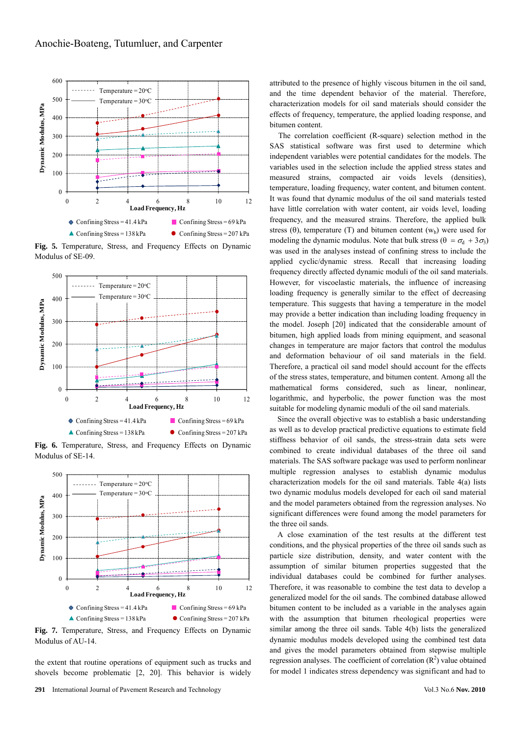

**Fig. 5.** Temperature, Stress, and Frequency Effects on Dynamic Modulus of SE-09.



**Fig. 6.** Temperature, Stress, and Frequency Effects on Dynamic Modulus of SE-14.



**Fig. 7.** Temperature, Stress, and Frequency Effects on Dynamic Modulus of AU-14.

the extent that routine operations of equipment such as trucks and shovels become problematic [2, 20]. This behavior is widely attributed to the presence of highly viscous bitumen in the oil sand, and the time dependent behavior of the material. Therefore, characterization models for oil sand materials should consider the effects of frequency, temperature, the applied loading response, and bitumen content.

The correlation coefficient (R-square) selection method in the SAS statistical software was first used to determine which independent variables were potential candidates for the models. The variables used in the selection include the applied stress states and measured strains, compacted air voids levels (densities), temperature, loading frequency, water content, and bitumen content. It was found that dynamic modulus of the oil sand materials tested have little correlation with water content, air voids level, loading frequency, and the measured strains. Therefore, the applied bulk stress ( $\theta$ ), temperature (T) and bitumen content ( $w<sub>b</sub>$ ) were used for modeling the dynamic modulus. Note that bulk stress ( $\theta = \sigma_d + 3\sigma_3$ ) was used in the analyses instead of confining stress to include the applied cyclic/dynamic stress. Recall that increasing loading frequency directly affected dynamic moduli of the oil sand materials. However, for viscoelastic materials, the influence of increasing loading frequency is generally similar to the effect of decreasing temperature. This suggests that having a temperature in the model may provide a better indication than including loading frequency in the model. Joseph [20] indicated that the considerable amount of bitumen, high applied loads from mining equipment, and seasonal changes in temperature are major factors that control the modulus and deformation behaviour of oil sand materials in the field. Therefore, a practical oil sand model should account for the effects of the stress states, temperature, and bitumen content. Among all the mathematical forms considered, such as linear, nonlinear, logarithmic, and hyperbolic, the power function was the most suitable for modeling dynamic moduli of the oil sand materials.

Since the overall objective was to establish a basic understanding as well as to develop practical predictive equations to estimate field stiffness behavior of oil sands, the stress-strain data sets were combined to create individual databases of the three oil sand materials. The SAS software package was used to perform nonlinear multiple regression analyses to establish dynamic modulus characterization models for the oil sand materials. Table 4(a) lists two dynamic modulus models developed for each oil sand material and the model parameters obtained from the regression analyses. No significant differences were found among the model parameters for the three oil sands.

A close examination of the test results at the different test conditions, and the physical properties of the three oil sands such as particle size distribution, density, and water content with the assumption of similar bitumen properties suggested that the individual databases could be combined for further analyses. Therefore, it was reasonable to combine the test data to develop a generalized model for the oil sands. The combined database allowed bitumen content to be included as a variable in the analyses again with the assumption that bitumen rheological properties were similar among the three oil sands. Table 4(b) lists the generalized dynamic modulus models developed using the combined test data and gives the model parameters obtained from stepwise multiple regression analyses. The coefficient of correlation  $(R^2)$  value obtained for model 1 indicates stress dependency was significant and had to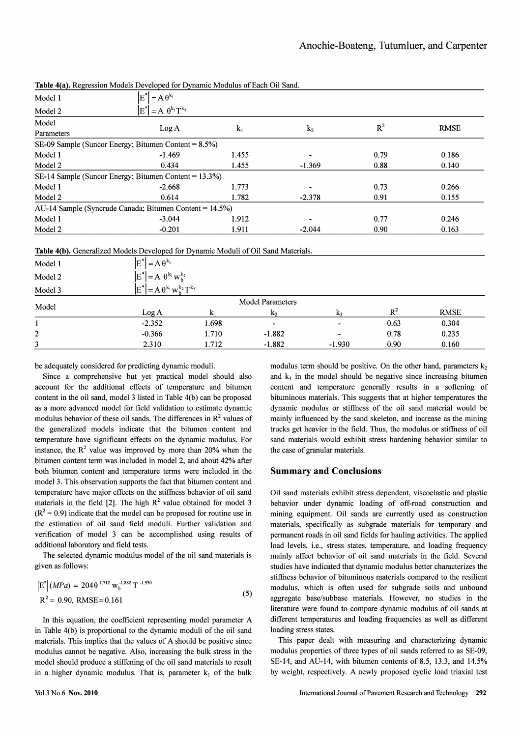|            | <b>Table 4(a).</b> Regression Models Developed for Dynamic Modulus of Each Oil Sand. |       |                |       |             |
|------------|--------------------------------------------------------------------------------------|-------|----------------|-------|-------------|
| Model 1    | $\left E^*\right  = A \theta^{k_1}$                                                  |       |                |       |             |
| Model 2    | $ E^*  = A \theta^{k_1} T^{k_2}$                                                     |       |                |       |             |
| Model      |                                                                                      |       |                | $R^2$ | <b>RMSE</b> |
| Parameters | Log A                                                                                | $k_1$ | k <sub>2</sub> |       |             |
|            | SE-09 Sample (Suncor Energy; Bitumen Content = $8.5\%$ )                             |       |                |       |             |
| Model 1    | $-1.469$                                                                             | 1.455 |                | 0.79  | 0.186       |
| Model 2    | 0.434                                                                                | 1.455 | $-1.369$       | 0.88  | 0.140       |
|            | SE-14 Sample (Suncor Energy; Bitumen Content = $13.3\%$ )                            |       |                |       |             |
| Model 1    | $-2.668$                                                                             | 1.773 |                | 0.73  | 0.266       |
| Model 2    | 0.614                                                                                | 1.782 | $-2.378$       | 0.91  | 0.155       |
|            | AU-14 Sample (Syncrude Canada; Bitumen Content = $14.5\%$ )                          |       |                |       |             |
| Model 1    | $-3.044$                                                                             | 1.912 |                | 0.77  | 0.246       |
| Model 2    | $-0.201$                                                                             | 1.911 | $-2.044$       | 0.90  | 0.163       |

orien Madele December of Can Demonsio Madeleon C.P. als Ott Gand

Table 4(b), Generalized Models Developed for Dynamic Moduli of Oil Sand Materials.

| Table T(b). Ochemized models Developed for Dynamic model of On Sand materials. |                                            |       |                |                |       |             |  |  |
|--------------------------------------------------------------------------------|--------------------------------------------|-------|----------------|----------------|-------|-------------|--|--|
| Model 1                                                                        | $\left E^*\right  = A \theta^{k_1}$        |       |                |                |       |             |  |  |
| Model 2                                                                        | $E^*$ = A $\theta^{k_1} w_{h}^{k_2}$       |       |                |                |       |             |  |  |
| Model 3                                                                        | $E^*$ = A $\theta^{k_1} w_b^{k_2} T^{k_3}$ |       |                |                |       |             |  |  |
|                                                                                | <b>Model Parameters</b>                    |       |                |                |       |             |  |  |
| Model                                                                          | Log A                                      |       | $k_2$          | k <sub>3</sub> | $R^2$ | <b>RMSE</b> |  |  |
|                                                                                | $-2.352$                                   | 1.698 | $\blacksquare$ | ۰              | 0.63  | 0.304       |  |  |
| $\overline{c}$                                                                 | $-0.366$                                   | 1.710 | $-1.882$       | ۰              | 0.78  | 0.235       |  |  |
| 3                                                                              | 2.310                                      | 1.712 | $-1.882$       | $-1.930$       | 0.90  | 0.160       |  |  |

be adequately considered for predicting dynamic moduli.

Since a comprehensive but yet practical model should also account for the additional effects of temperature and bitumen content in the oil sand, model 3 listed in Table 4(b) can be proposed as a more advanced model for field validation to estimate dynamic modulus behavior of these oil sands. The differences in  $\mathbb{R}^2$  values of the generalized models indicate that the bitumen content and temperature have significant effects on the dynamic modulus. For instance, the  $R^2$  value was improved by more than 20% when the bitumen content term was included in model 2, and about 42% after both bitumen content and temperature terms were included in the model 3. This observation supports the fact that bitumen content and temperature have major effects on the stiffness behavior of oil sand materials in the field [2]. The high  $R^2$  value obtained for model 3  $(R<sup>2</sup> = 0.9)$  indicate that the model can be proposed for routine use in the estimation of oil sand field moduli. Further validation and verification of model 3 can be accomplished using results of additional laboratory and field tests.

The selected dynamic modulus model of the oil sand materials is given as follows:

$$
\left| E^{\dagger} \right| (MPa) = 204 \theta^{1.712} \, w_b^{-1.882} \, T^{-1.930}
$$
\n
$$
R^2 = 0.90, \, RMSE = 0.161 \tag{5}
$$

In this equation, the coefficient representing model parameter A in Table 4(b) is proportional to the dynamic moduli of the oil sand materials. This implies that the values of A should be positive since modulus cannot be negative. Also, increasing the bulk stress in the model should produce a stiffening of the oil sand materials to result in a higher dynamic modulus. That is, parameter  $k_1$  of the bulk

modulus term should be positive. On the other hand, parameters  $k_2$ and  $k_3$  in the model should be negative since increasing bitumen content and temperature generally results in a softening of bituminous materials. This suggests that at higher temperatures the dynamic modulus or stiffness of the oil sand material would be mainly influenced by the sand skeleton, and increase as the mining trucks get heavier in the field. Thus, the modulus or stiffness of oil sand materials would exhibit stress hardening behavior similar to the case of granular materials.

#### **Summary and Conclusions**

Oil sand materials exhibit stress dependent, viscoelastic and plastic behavior under dynamic loading of off-road construction and mining equipment. Oil sands are currently used as construction materials, specifically as subgrade materials for temporary and permanent roads in oil sand fields for hauling activities. The applied load levels, i.e., stress states, temperature, and loading frequency mainly affect behavior of oil sand materials in the field. Several studies have indicated that dynamic modulus better characterizes the stiffness behavior of bituminous materials compared to the resilient modulus, which is often used for subgrade soils and unbound aggregate base/subbase materials. However, no studies in the literature were found to compare dynamic modulus of oil sands at different temperatures and loading frequencies as well as different loading stress states.

This paper dealt with measuring and characterizing dynamic modulus properties of three types of oil sands referred to as SE-09, SE-14, and AU-14, with bitumen contents of 8.5, 13.3, and 14.5% by weight, respectively. A newly proposed cyclic load triaxial test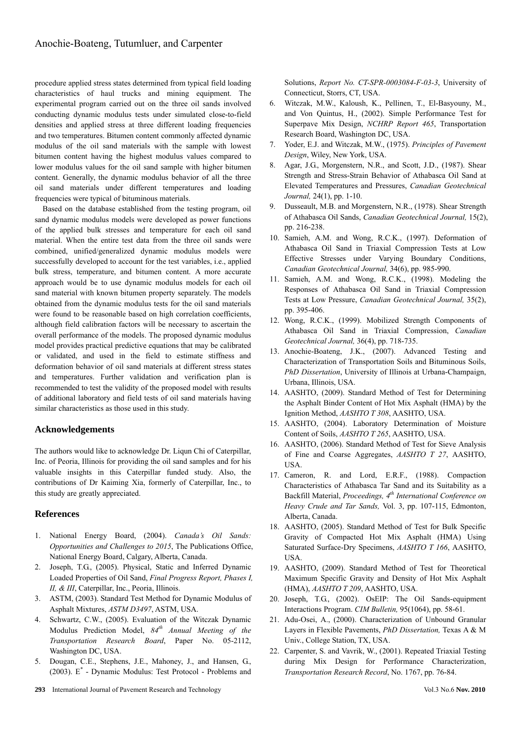procedure applied stress states determined from typical field loading characteristics of haul trucks and mining equipment. The experimental program carried out on the three oil sands involved conducting dynamic modulus tests under simulated close-to-field densities and applied stress at three different loading frequencies and two temperatures. Bitumen content commonly affected dynamic modulus of the oil sand materials with the sample with lowest bitumen content having the highest modulus values compared to lower modulus values for the oil sand sample with higher bitumen content. Generally, the dynamic modulus behavior of all the three oil sand materials under different temperatures and loading frequencies were typical of bituminous materials.

Based on the database established from the testing program, oil sand dynamic modulus models were developed as power functions of the applied bulk stresses and temperature for each oil sand material. When the entire test data from the three oil sands were combined, unified/generalized dynamic modulus models were successfully developed to account for the test variables, i.e., applied bulk stress, temperature, and bitumen content. A more accurate approach would be to use dynamic modulus models for each oil sand material with known bitumen property separately. The models obtained from the dynamic modulus tests for the oil sand materials were found to be reasonable based on high correlation coefficients, although field calibration factors will be necessary to ascertain the overall performance of the models. The proposed dynamic modulus model provides practical predictive equations that may be calibrated or validated, and used in the field to estimate stiffness and deformation behavior of oil sand materials at different stress states and temperatures. Further validation and verification plan is recommended to test the validity of the proposed model with results of additional laboratory and field tests of oil sand materials having similar characteristics as those used in this study.

## **Acknowledgements**

The authors would like to acknowledge Dr. Liqun Chi of Caterpillar, Inc. of Peoria, Illinois for providing the oil sand samples and for his valuable insights in this Caterpillar funded study. Also, the contributions of Dr Kaiming Xia, formerly of Caterpillar, Inc., to this study are greatly appreciated.

## **References**

- 1. National Energy Board, (2004). *Canada's Oil Sands: Opportunities and Challenges to 2015*, The Publications Office, National Energy Board, Calgary, Alberta, Canada.
- 2. Joseph, T.G., (2005). Physical, Static and Inferred Dynamic Loaded Properties of Oil Sand, *Final Progress Report, Phases I, II, & III*, Caterpillar, Inc., Peoria, Illinois.
- 3. ASTM, (2003). Standard Test Method for Dynamic Modulus of Asphalt Mixtures, *ASTM D3497*, ASTM, USA.
- 4. Schwartz, C.W., (2005). Evaluation of the Witczak Dynamic Modulus Prediction Model, *84th Annual Meeting of the Transportation Research Board*, Paper No. 05-2112, Washington DC, USA.
- 5. Dougan, C.E., Stephens, J.E., Mahoney, J., and Hansen, G., (2003). E\* - Dynamic Modulus: Test Protocol - Problems and

Solutions, *Report No. CT-SPR-0003084-F-03-3*, University of Connecticut, Storrs, CT, USA.

- 6. Witczak, M.W., Kaloush, K., Pellinen, T., El-Basyouny, M., and Von Quintus, H., (2002). Simple Performance Test for Superpave Mix Design, *NCHRP Report 465*, Transportation Research Board, Washington DC, USA.
- 7. Yoder, E.J. and Witczak, M.W., (1975). *Principles of Pavement Design*, Wiley, New York, USA.
- 8. Agar, J.G., Morgenstern, N.R., and Scott, J.D., (1987). Shear Strength and Stress-Strain Behavior of Athabasca Oil Sand at Elevated Temperatures and Pressures, *Canadian Geotechnical Journal,* 24(1), pp. 1-10.
- 9. Dusseault, M.B. and Morgenstern, N.R., (1978). Shear Strength of Athabasca Oil Sands, *Canadian Geotechnical Journal,* 15(2), pp. 216-238.
- 10. Samieh, A.M. and Wong, R.C.K., (1997). Deformation of Athabasca Oil Sand in Triaxial Compression Tests at Low Effective Stresses under Varying Boundary Conditions, *Canadian Geotechnical Journal,* 34(6), pp. 985-990.
- 11. Samieh, A.M. and Wong, R.C.K., (1998). Modeling the Responses of Athabasca Oil Sand in Triaxial Compression Tests at Low Pressure, *Canadian Geotechnical Journal,* 35(2), pp. 395-406.
- 12. Wong, R.C.K., (1999). Mobilized Strength Components of Athabasca Oil Sand in Triaxial Compression, *Canadian Geotechnical Journal,* 36(4), pp. 718-735.
- 13. Anochie-Boateng, J.K., (2007). Advanced Testing and Characterization of Transportation Soils and Bituminous Soils, *PhD Dissertation*, University of Illinois at Urbana-Champaign, Urbana, Illinois, USA.
- 14. AASHTO, (2009). Standard Method of Test for Determining the Asphalt Binder Content of Hot Mix Asphalt (HMA) by the Ignition Method, *AASHTO T 308*, AASHTO, USA.
- 15. AASHTO, (2004). Laboratory Determination of Moisture Content of Soils, *AASHTO T 265*, AASHTO, USA.
- 16. AASHTO, (2006). Standard Method of Test for Sieve Analysis of Fine and Coarse Aggregates, *AASHTO T 27*, AASHTO, USA.
- 17. Cameron, R. and Lord, E.R.F., (1988). Compaction Characteristics of Athabasca Tar Sand and its Suitability as a Backfill Material, *Proceedings,* 4<sup>th</sup> International Conference on *Heavy Crude and Tar Sands,* Vol. 3, pp. 107-115, Edmonton, Alberta, Canada.
- 18. AASHTO, (2005). Standard Method of Test for Bulk Specific Gravity of Compacted Hot Mix Asphalt (HMA) Using Saturated Surface-Dry Specimens, *AASHTO T 166*, AASHTO, USA.
- 19. AASHTO, (2009). Standard Method of Test for Theoretical Maximum Specific Gravity and Density of Hot Mix Asphalt (HMA), *AASHTO T 209*, AASHTO, USA.
- 20. Joseph, T.G., (2002). OsEIP: The Oil Sands-equipment Interactions Program. *CIM Bulletin,* 95(1064), pp. 58-61.
- 21. Adu-Osei, A., (2000). Characterization of Unbound Granular Layers in Flexible Pavements, *PhD Dissertation,* Texas A & M Univ., College Station, TX, USA.
- 22. Carpenter, S. and Vavrik, W., (2001). Repeated Triaxial Testing during Mix Design for Performance Characterization, *Transportation Research Record*, No. 1767, pp. 76-84.